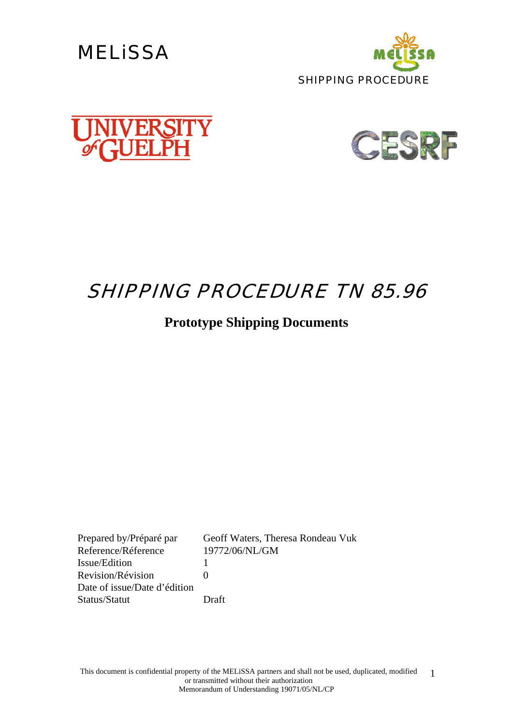







## SHIPPING PROCEDURE TN 85.96

### **Prototype Shipping Documents**

Reference/Réference 19772/06/NL/GM Issue/Edition 1 Revision/Révision 0 Date of issue/Date d'édition Status/Statut Draft

Prepared by/Préparé par Geoff Waters, Theresa Rondeau Vuk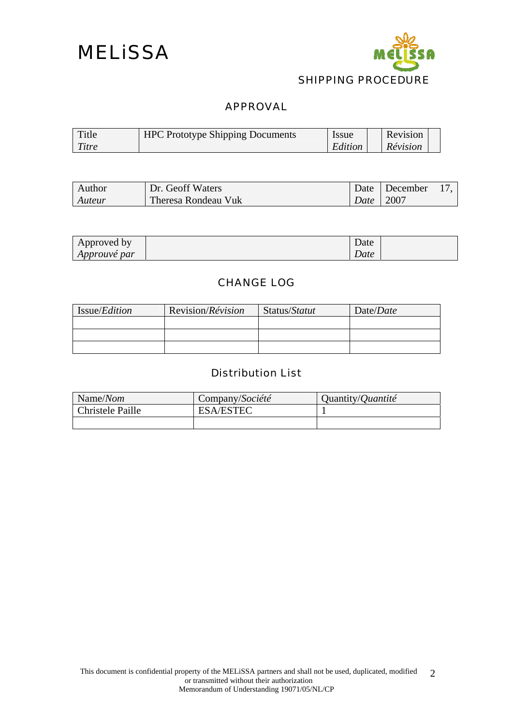



#### APPROVAL

| Title | <b>HPC Prototype Shipping Documents</b> | <i>ssue</i> | Revision |  |
|-------|-----------------------------------------|-------------|----------|--|
| Titre |                                         | Edition     | Révision |  |

| Author | Dr. Geoff Waters    |               | Date December |  |
|--------|---------------------|---------------|---------------|--|
| Auteur | Theresa Rondeau Vuk | Date   $2007$ |               |  |

| Approved by         | Date |  |
|---------------------|------|--|
| <i>Approuvé par</i> | Date |  |

#### CHANGE LOG

| Issue/ <i>Edition</i> | Revision/ <i>Révision</i> | Status/Statut | Date/ <i>Date</i> |
|-----------------------|---------------------------|---------------|-------------------|
|                       |                           |               |                   |
|                       |                           |               |                   |
|                       |                           |               |                   |

#### Distribution List

| Name/Nom         | Company/Société  | Quantity/ <i>Quantité</i> |
|------------------|------------------|---------------------------|
| Christele Paille | <b>ESA/ESTEC</b> |                           |
|                  |                  |                           |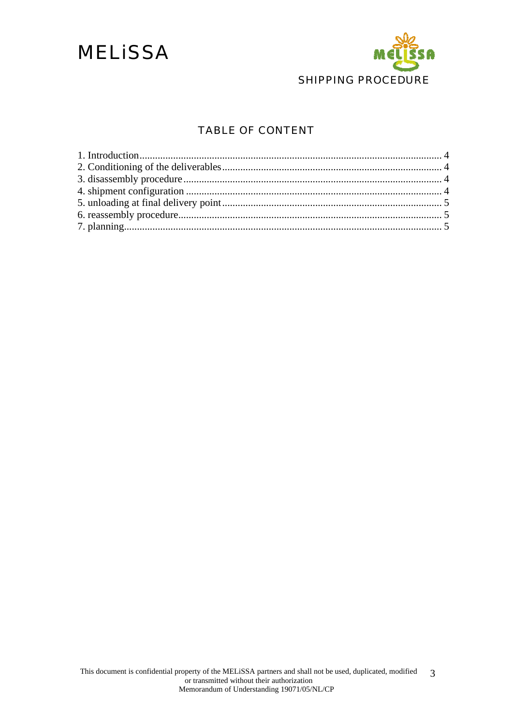

#### TABLE OF CONTENT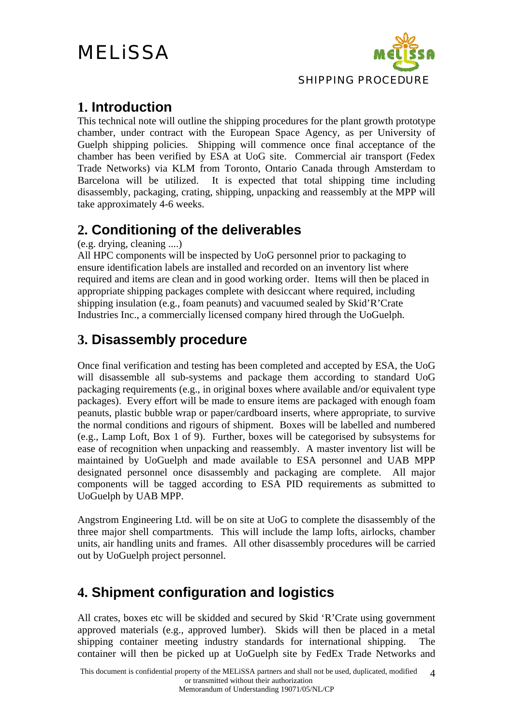

#### <span id="page-3-0"></span>**1. Introduction**

This technical note will outline the shipping procedures for the plant growth prototype chamber, under contract with the European Space Agency, as per University of Guelph shipping policies. Shipping will commence once final acceptance of the chamber has been verified by ESA at UoG site. Commercial air transport (Fedex Trade Networks) via KLM from Toronto, Ontario Canada through Amsterdam to Barcelona will be utilized. It is expected that total shipping time including disassembly, packaging, crating, shipping, unpacking and reassembly at the MPP will take approximately 4-6 weeks.

### **2. Conditioning of the deliverables**

(e.g. drying, cleaning ....)

All HPC components will be inspected by UoG personnel prior to packaging to ensure identification labels are installed and recorded on an inventory list where required and items are clean and in good working order. Items will then be placed in appropriate shipping packages complete with desiccant where required, including shipping insulation (e.g., foam peanuts) and vacuumed sealed by Skid'R'Crate Industries Inc., a commercially licensed company hired through the UoGuelph.

### **3. Disassembly procedure**

Once final verification and testing has been completed and accepted by ESA, the UoG will disassemble all sub-systems and package them according to standard UoG packaging requirements (e.g., in original boxes where available and/or equivalent type packages). Every effort will be made to ensure items are packaged with enough foam peanuts, plastic bubble wrap or paper/cardboard inserts, where appropriate, to survive the normal conditions and rigours of shipment. Boxes will be labelled and numbered (e.g., Lamp Loft, Box 1 of 9). Further, boxes will be categorised by subsystems for ease of recognition when unpacking and reassembly. A master inventory list will be maintained by UoGuelph and made available to ESA personnel and UAB MPP designated personnel once disassembly and packaging are complete. All major components will be tagged according to ESA PID requirements as submitted to UoGuelph by UAB MPP.

Angstrom Engineering Ltd. will be on site at UoG to complete the disassembly of the three major shell compartments. This will include the lamp lofts, airlocks, chamber units, air handling units and frames. All other disassembly procedures will be carried out by UoGuelph project personnel.

### **4. Shipment configuration and logistics**

All crates, boxes etc will be skidded and secured by Skid 'R'Crate using government approved materials (e.g., approved lumber). Skids will then be placed in a metal shipping container meeting industry standards for international shipping. The container will then be picked up at UoGuelph site by FedEx Trade Networks and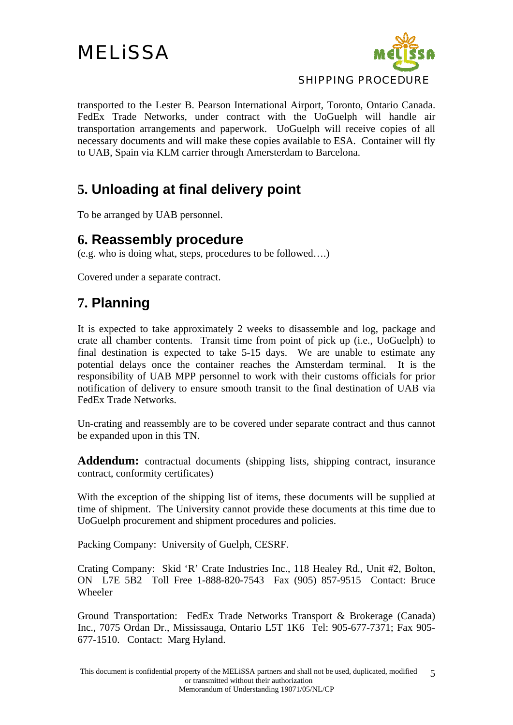

<span id="page-4-0"></span>transported to the Lester B. Pearson International Airport, Toronto, Ontario Canada. FedEx Trade Networks, under contract with the UoGuelph will handle air transportation arrangements and paperwork. UoGuelph will receive copies of all necessary documents and will make these copies available to ESA. Container will fly to UAB, Spain via KLM carrier through Amersterdam to Barcelona.

### **5. Unloading at final delivery point**

To be arranged by UAB personnel.

#### **6. Reassembly procedure**

(e.g. who is doing what, steps, procedures to be followed….)

Covered under a separate contract.

### **7. Planning**

It is expected to take approximately 2 weeks to disassemble and log, package and crate all chamber contents. Transit time from point of pick up (i.e., UoGuelph) to final destination is expected to take 5-15 days. We are unable to estimate any potential delays once the container reaches the Amsterdam terminal. It is the responsibility of UAB MPP personnel to work with their customs officials for prior notification of delivery to ensure smooth transit to the final destination of UAB via FedEx Trade Networks.

Un-crating and reassembly are to be covered under separate contract and thus cannot be expanded upon in this TN.

Addendum: contractual documents (shipping lists, shipping contract, insurance contract, conformity certificates)

With the exception of the shipping list of items, these documents will be supplied at time of shipment. The University cannot provide these documents at this time due to UoGuelph procurement and shipment procedures and policies.

Packing Company: University of Guelph, CESRF.

Crating Company: Skid 'R' Crate Industries Inc., 118 Healey Rd., Unit #2, Bolton, ON L7E 5B2 Toll Free 1-888-820-7543 Fax (905) 857-9515 Contact: Bruce Wheeler

Ground Transportation: FedEx Trade Networks Transport & Brokerage (Canada) Inc., 7075 Ordan Dr., Mississauga, Ontario L5T 1K6 Tel: 905-677-7371; Fax 905- 677-1510. Contact: Marg Hyland.